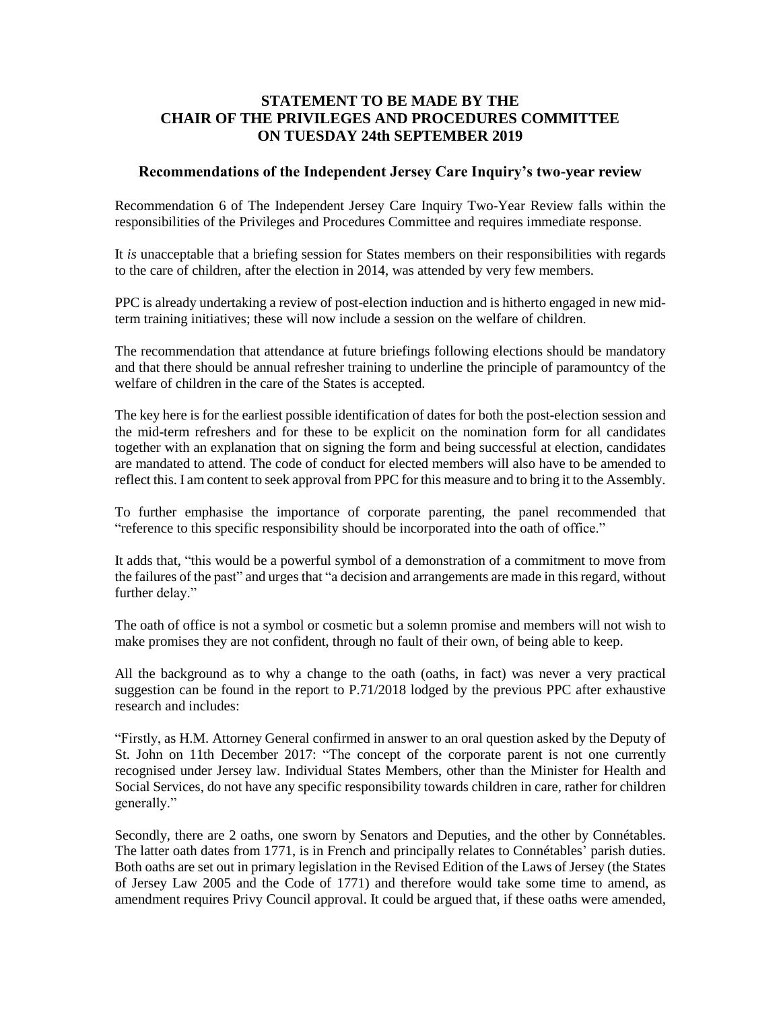## **STATEMENT TO BE MADE BY THE CHAIR OF THE PRIVILEGES AND PROCEDURES COMMITTEE ON TUESDAY 24th SEPTEMBER 2019**

## **Recommendations of the Independent Jersey Care Inquiry's two-year review**

Recommendation 6 of The Independent Jersey Care Inquiry Two-Year Review falls within the responsibilities of the Privileges and Procedures Committee and requires immediate response.

It *is* unacceptable that a briefing session for States members on their responsibilities with regards to the care of children, after the election in 2014, was attended by very few members.

PPC is already undertaking a review of post-election induction and is hitherto engaged in new midterm training initiatives; these will now include a session on the welfare of children.

The recommendation that attendance at future briefings following elections should be mandatory and that there should be annual refresher training to underline the principle of paramountcy of the welfare of children in the care of the States is accepted.

The key here is for the earliest possible identification of dates for both the post-election session and the mid-term refreshers and for these to be explicit on the nomination form for all candidates together with an explanation that on signing the form and being successful at election, candidates are mandated to attend. The code of conduct for elected members will also have to be amended to reflect this. I am content to seek approval from PPC for this measure and to bring it to the Assembly.

To further emphasise the importance of corporate parenting, the panel recommended that "reference to this specific responsibility should be incorporated into the oath of office."

It adds that, "this would be a powerful symbol of a demonstration of a commitment to move from the failures of the past" and urges that "a decision and arrangements are made in this regard, without further delay."

The oath of office is not a symbol or cosmetic but a solemn promise and members will not wish to make promises they are not confident, through no fault of their own, of being able to keep.

All the background as to why a change to the oath (oaths, in fact) was never a very practical suggestion can be found in the report to P.71/2018 lodged by the previous PPC after exhaustive research and includes:

"Firstly, as H.M. Attorney General confirmed in answer to an oral question asked by the Deputy of St. John on 11th December 2017: "The concept of the corporate parent is not one currently recognised under Jersey law. Individual States Members, other than the Minister for Health and Social Services, do not have any specific responsibility towards children in care, rather for children generally."

Secondly, there are 2 oaths, one sworn by Senators and Deputies, and the other by Connétables. The latter oath dates from 1771, is in French and principally relates to Connétables' parish duties. Both oaths are set out in primary legislation in the Revised Edition of the Laws of Jersey (the States of Jersey Law 2005 and the Code of 1771) and therefore would take some time to amend, as amendment requires Privy Council approval. It could be argued that, if these oaths were amended,